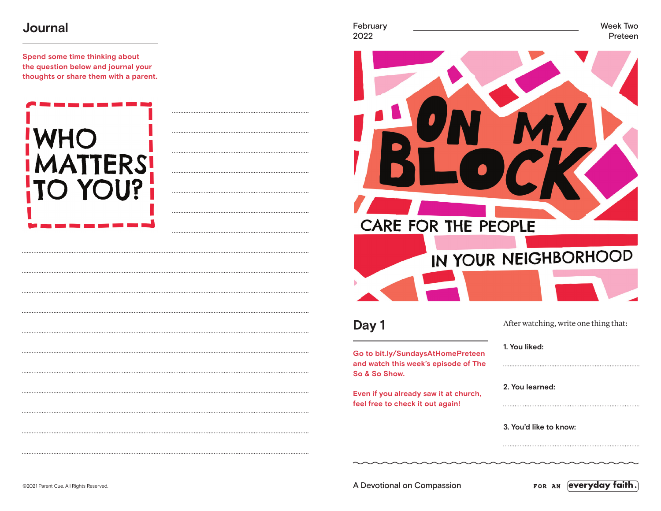### **Journal**

**Spend some time thinking about the question below and journal your thoughts or share them with a parent.**

# FRS YOU?





**Day 1**

**Go to bit.ly/SundaysAtHomePreteen and watch this week's episode of The So & So Show.**

**Even if you already saw it at church, feel free to check it out again!**

**1. You liked:** 

**2. You learned:** 

**3. You'd like to know:** 

©2021 Parent Cue. All Rights Reserved. A Devotional on Compassion